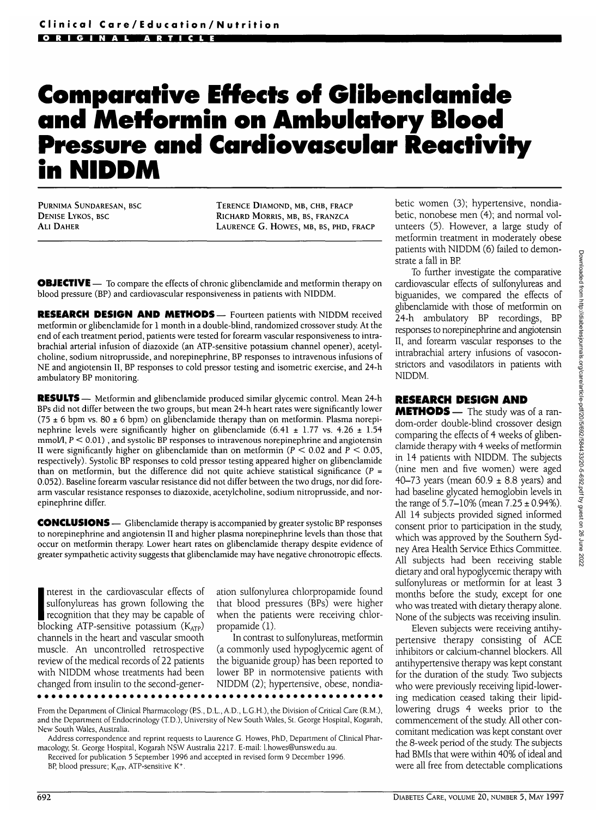# **Comparative Effects of Glibenclamide and Metformin on Ambulatory Blood Pressure and Cardiovascular Reactivity in NIDDM**

PURNIMA SUNDARESAN, BSC DENISE LYKOS, BSC ALI DAHER

TERENCE DIAMOND, MB, CHB, FRACP RICHARD MORRIS, MB, BS, FRANZCA LAURENCE G. HOWES, MB, BS, PHD, FRACP

**OBJECTIVE** — To compare the effects of chronic glibenclamide and metformin therapy on blood pressure (BP) and cardiovascular responsiveness in patients with NIDDM.

RESEARCH DESIGN AND METHODS— Fourteen patients with NIDDM received metformin or glibenclamide for 1 month in a double-blind, randomized crossover study. At the end of each treatment period, patients were tested for forearm vascular responsiveness to intrabrachial arterial infusion of diazoxide (an ATP-sensitive potassium channel opener), acetylcholine, sodium nitroprusside, and norepinephrine, BP responses to intravenous infusions of NE and angiotensin II, BP responses to cold pressor testing and isometric exercise, and 24-h ambulatory BP monitoring.

RESULTS— Metformin and glibenclamide produced similar glycemic control. Mean 24-h BPs did not differ between the two groups, but mean 24-h heart rates were significantly lower (75  $\pm$  6 bpm vs. 80  $\pm$  6 bpm) on glibenclamide therapy than on metformin. Plasma norepinephrine levels were significantly higher on glibenclamide  $(6.41 \pm 1.77 \text{ vs. } 4.26 \pm 1.54$  $mmoM, P < 0.01$ ), and systolic BP responses to intravenous norepinephrine and angiotensin II were significantly higher on glibenclamide than on metformin ( $P < 0.02$  and  $P < 0.05$ , respectively). Systolic BP responses to cold pressor testing appeared higher on glibenclamide than on metformin, but the difference did not quite achieve statistical significance ( $P =$ 0.052). Baseline forearm vascular resistance did not differ between the two drugs, nor did forearm vascular resistance responses to diazoxide, acetylcholine, sodium nitroprusside, and norepinephrine differ.

CONCLUSIONS — Glibenclamide therapy is accompanied by greater systolic BP responses to norepinephrine and angiotensin II and higher plasma norepinephrine levels than those that occur on metformin therapy. Lower heart rates on glibenclamide therapy despite evidence of greater sympathetic activity suggests that glibenclamide may have negative chronotropic effects.

**EXECUTE:** The sunctivities has grown following the<br>discrepable of blocking ATP-sensitive potassium (K<sub>ATP</sub>) nterest in the cardiovascular effects of sulfonylureas has grown following the recognition that they may be capable of channels in the heart and vascular smooth muscle. An uncontrolled retrospective review of the medical records of 22 patients with NIDDM whose treatments had been changed from insulin to the second-generation sulfonylurea chlorpropamide found that blood pressures (BPs) were higher when the patients were receiving chlorpropamide (1).

In contrast to sulfonylureas, metformin (a commonly used hypoglycemic agent of the biguanide group) has been reported to lower BP in normotensive patients with NIDDM (2); hypertensive, obese, nondia-

From the Department of Clinical Pharmacology (PS., D.L., A.D., L.G.H.), the Division of Critical Care (R.M.), and the Department of Endocrinology (T.D.), University of New South Wales, St. George Hospital, Kogarah, New South Wales, Australia.

Address correspondence and reprint requests to Laurence G. Howes, PhD, Department of Clinical Pharmacology, St. George Hospital, Kogarah NSW Australia 2217. E-mail: l.howes@unsw.edu.au.

Received for publication 5 September 1996 and accepted in revised form 9 December 1996. BP, blood pressure; KATP, ATP-sensitive K<sup>+</sup>.

betic women (3); hypertensive, nondiabetic, nonobese men (4); and normal volunteers (5). However, a large study of metformin treatment in moderately obese patients with NIDDM (6) failed to demonstrate a fall in BP

To further investigate the comparative cardiovascular effects of sulfonylureas and biguanides, we compared the effects of glibenclamide with those of metformin on 24-h ambulatory BP recordings, BP responses to norepinephrine and angiotensin II, and forearm vascular responses to the intrabrachial artery infusions of vasoconstrictors and vasodilators in patients with NIDDM.

#### RESEARCH DESIGN AND

METHODS — The study was of a random-order double-blind crossover design comparing the effects of 4 weeks of glibenclamide therapy with 4 weeks of metformin in 14 patients with NIDDM. The subjects (nine men and five women) were aged 40–73 years (mean  $60.9 \pm 8.8$  years) and had baseline glycated hemoglobin levels in the range of  $5.7-10\%$  (mean  $7.25 \pm 0.94\%$ ). All 14 subjects provided signed informed consent prior to participation in the study, which was approved by the Southern Sydney Area Health Service Ethics Committee. All subjects had been receiving stable dietary and oral hypoglycemic therapy with sulfonylureas or metformin for at least 3 months before the study, except for one who was treated with dietary therapy alone. None of the subjects was receiving insulin.

Eleven subjects were receiving antihypertensive therapy consisting of ACE inhibitors or calcium-channel blockers. All antihypertensive therapy was kept constant for the duration of the study. Two subjects who were previously receiving lipid-lowering medication ceased taking their lipidlowering drugs 4 weeks prior to the commencement of the study. All other concomitant medication was kept constant over the 8-week period of the study. The subjects had BMIs that were within 40% of ideal and were all free from detectable complications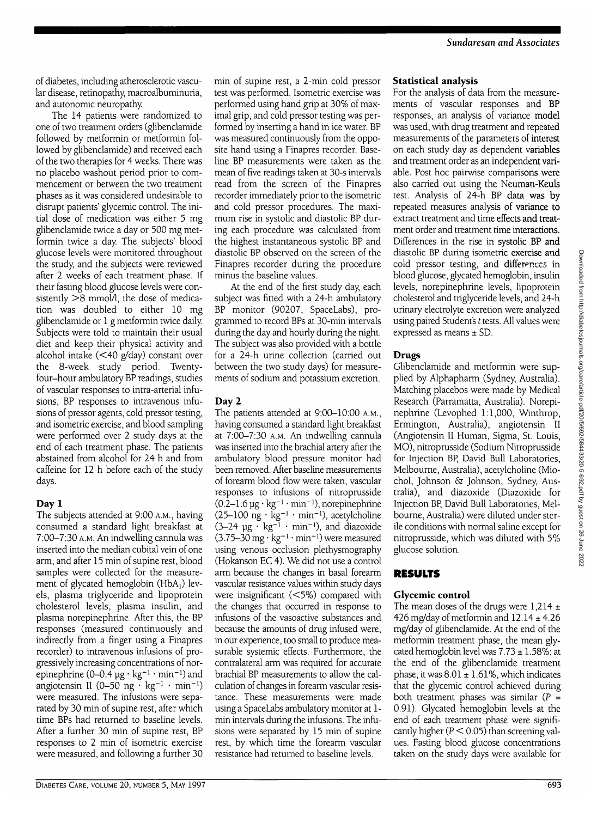of diabetes, including atherosclerotic vascular disease, retinopathy, macroalbuminuria, and autonomic neuropathy.

The 14 patients were randomized to one of two treatment orders (glibenclamide followed by metformin or metformin followed by glibenclamide) and received each of the two therapies for 4 weeks. There was no placebo washout period prior to commencement or between the two treatment phases as it was considered undesirable to disrupt patients' glycemic control. The initial dose of medication was either 5 mg glibenclamide twice a day or 500 mg metformin twice a day. The subjects' blood glucose levels were monitored throughout the study, and the subjects were reviewed after 2 weeks of each treatment phase. If their fasting blood glucose levels were consistently  $>8$  mmol/l, the dose of medication was doubled to either 10 mg glibenclamide or 1 g metformin twice daily. Subjects were told to maintain their usual diet and keep their physical activity and alcohol intake (<40 g/day) constant over the 8-week study period. Twentyfour-hour ambulatory BP readings, studies of vascular responses to intra-arterial infusions, BP responses to intravenous infusions of pressor agents, cold pressor testing, and isometric exercise, and blood sampling were performed over 2 study days at the end of each treatment phase. The patients abstained from alcohol for 24 h and from caffeine for 12 h before each of the study days.

## **Day** 1

The subjects attended at 9:00 A.M., having consumed a standard light breakfast at 7:00-7:30 A.M. An indwelling cannula was inserted into the median cubital vein of one arm, and after 15 min of supine rest, blood samples were collected for the measurement of glycated hemoglobin ( $HbA<sub>1</sub>$ ) levels, plasma triglyceride and lipoprotein cholesterol levels, plasma insulin, and plasma norepinephrine. After this, the BP responses (measured continuously and indirectly from a finger using a Finapres recorder) to intravenous infusions of progressively increasing concentrations of norepinephrine  $(0-0.4 \mu g \cdot kg^{-1} \cdot min^{-1})$  and angiotensin II (0–50 ng · kg<sup>-1</sup> · min<sup>-1</sup>) were measured. The infusions were separated by 30 min of supine rest, after which time BPs had returned to baseline levels. After a further 30 min of supine rest, BP responses to 2 min of isometric exercise were measured, and following a further 30

min of supine rest, a 2-min cold pressor test was performed. Isometric exercise was performed using hand grip at 30% of maximal grip, and cold pressor testing was performed by inserting a hand in ice water. BP was measured continuously from the opposite hand using a Finapres recorder. Baseline BP measurements were taken as the mean of five readings taken at 30-s intervals read from the screen of the Finapres recorder immediately prior to the isometric and cold pressor procedures. The maximum rise in systolic and diastolic BP during each procedure was calculated from the highest instantaneous systolic BP and diastolic BP observed on the screen of the Finapres recorder during the procedure minus the baseline values.

At the end of the first study day, each subject was fitted with a 24-h ambulatory BP monitor (90207, SpaceLabs), programmed to record BPs at 30-min intervals during the day and hourly during the night. The subject was also provided with a bottle for a 24-h urine collection (carried out between the two study days) for measurements of sodium and potassium excretion.

# **Day** 2

The patients attended at 9:00-10:00 A.M., having consumed a standard light breakfast at 7:00-7:30 A.M. An indwelling cannula was inserted into the brachial artery after the ambulatory blood pressure monitor had been removed. After baseline measurements of forearm blood flow were taken, vascular responses to infusions of nitroprusside  $(0.\overline{2}-1.6 \,\mu g \cdot kg^{-1} \cdot min^{-1})$ , norepinephrine  $(25-100 \text{ ng} \cdot \text{kg}^{-1} \cdot \text{min}^{-1})$ , acetylcholine (3–24  $\mu$ g · kg<sup>-1</sup> · min<sup>-1</sup>), and diazoxide  $(3.75-30 \text{ mg} \cdot \text{kg}^{-1} \cdot \text{min}^{-1})$  were measured using venous occlusion plethysmography (Hokanson EC 4). We did not use a control arm because the changes in basal forearm vascular resistance values within study days were insignificant (<5%) compared with the changes that occurred in response to infusions of the vasoactive substances and because the amounts of drug infused were, in our experience, too small to produce measurable systemic effects. Furthermore, the contralateral arm was required for accurate brachial BP measurements to allow the calculation of changes in forearm vascular resistance. These measurements were made using a SpaceLabs ambulatory monitor at 1 min intervals during the infusions. The infusions were separated by 15 min of supine rest, by which time the forearm vascular resistance had returned to baseline levels.

## **Statistical analysis**

For the analysis of data from the measurements of vascular responses and BP responses, an analysis of variance model was used, with drug treatment and repeated measurements of the parameters of interest on each study day as dependent variables and treatment order as an independent variable. Post hoc pairwise comparisons were also carried out using the Neuman-Keuls test. Analysis of 24-h BP data was by repeated measures analysis of variance to extract treatment and time effects and treatment order and treatment time interactions. Differences in the rise in systolic BP and diastolic BP during isometric exercise and cold pressor testing, and differences in blood glucose, glycated hemoglobin, insulin levels, norepinephrine levels, lipoprotein cholesterol and triglyceride levels, and 24-h urinary electrolyte excretion were analyzed using paired Student's *t* tests. All values were expressed as means ± SD.

# **Drugs**

Glibenclamide and metformin were supplied by Alphapharm (Sydney, Australia). Matching placebos were made by Medical Research (Parramatta, Australia). Norepinephrine (Levophed 1:1,000, Winthrop, Ermington, Australia), angiotensin II (Angiotensin II Human, Sigma, St. Louis, MO), nitroprusside (Sodium Nitroprusside for Injection BP, David Bull Laboratories, Melbourne, Australia), acetylcholine (Miochol, Johnson & Johnson, Sydney, Australia), and diazoxide (Diazoxide for Injection BP, David Bull Laboratories, Melbourne, Australia) were diluted under sterile conditions with normal saline except for nitroprusside, which was diluted with 5% glucose solution.

# **RESULTS**

# **Glycemic control**

The mean doses of the drugs were  $1,214 \pm 1$ 426 mg/day of metformin and  $12.14 \pm 4.26$ mg/day of glibenclamide. At the end of the metformin treatment phase, the mean glycated hemoglobin level was  $7.73 \pm 1.58\%$ ; at the end of the glibenclamide treatment phase, it was  $8.01 \pm 1.61\%$ , which indicates that the glycemic control achieved during both treatment phases was similar ( $P =$ 0.91). Glycated hemoglobin levels at the end of each treatment phase were significantly higher ( $P < 0.05$ ) than screening values. Fasting blood glucose concentrations taken on the study days were available for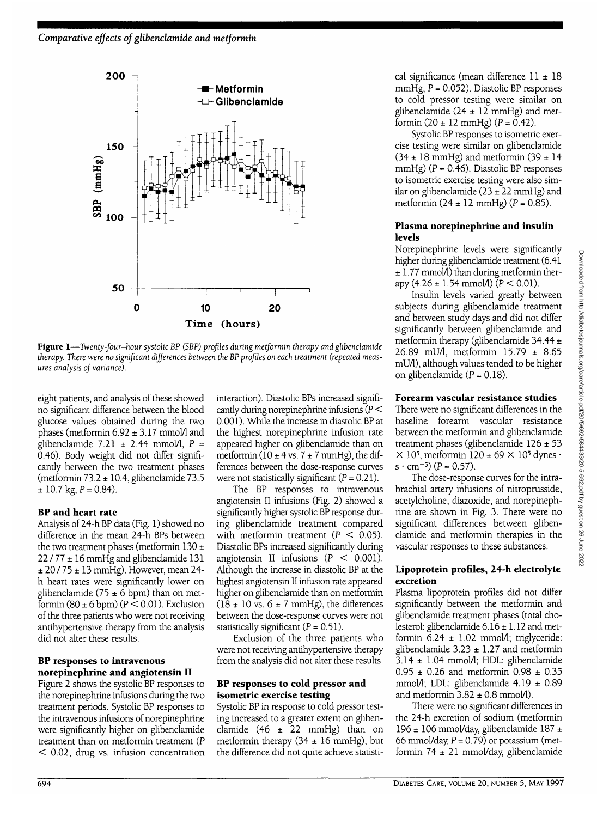

Figure 1—Twenty-four-hour systolic BP (SBP) profiles during metformin therapy and glibenclamide *therapy. There were no significant differences between the BP profiles on each treatment (repeated measures analysis of variance).*

eight patients, and analysis of these showed no significant difference between the blood glucose values obtained during the two phases (metformin  $6.92 \pm 3.17$  mmol/1 and glibenclamide 7.21  $\pm$  2.44 mmol/l, P = 0.46). Body weight did not differ significantly between the two treatment phases (metformin  $73.2 \pm 10.4$ , glibenclamide  $73.5$  $\pm$  10.7 kg, P = 0.84).

#### **BP and heart rate**

Analysis of 24-h BP data (Fig. 1) showed no difference in the mean 24-h BPs between the two treatment phases (metformin  $130 \pm$ *12111±* 16 mmHg and glibenclamide 131  $\pm$  20 / 75  $\pm$  13 mmHg). However, mean 24h heart rates were significantly lower on glibenclamide (75  $\pm$  6 bpm) than on metformin (80  $\pm$  6 bpm) ( $P < 0.01$ ). Exclusion of the three patients who were not receiving antihypertensive therapy from the analysis did not alter these results.

#### **BP responses to intravenous norepinephrine and angiotensin II**

Figure 2 shows the systolic BP responses to the norepinephrine infusions during the two treatment periods. Systolic BP responses to the intravenous infusions of norepinephrine were significantly higher on glibenclamide treatment than on metformin treatment (P < 0.02, drug vs. infusion concentration

interaction). Diastolic BPs increased significantly during norepinephrine infusions ( $P <$ 0.001). While the increase in diastolic BP at the highest norepinephrine infusion rate appeared higher on glibenclamide than on metformin ( $10 \pm 4$  vs.  $7 \pm 7$  mmHg), the differences between the dose-response curves were not statistically significant  $(P = 0.21)$ .

The BP responses to intravenous angiotensin II infusions (Fig. 2) showed a significantly higher systolic BP response during glibenclamide treatment compared with metformin treatment ( $P < 0.05$ ). Diastolic BPs increased significantly during angiotensin II infusions  $(P < 0.001)$ . Although the increase in diastolic BP at the highest angiotensin II infusion rate appeared higher on glibenclamide than on metformin  $(18 \pm 10 \text{ vs. } 6 \pm 7 \text{ mmHg})$ , the differences between the dose-response curves were not statistically significant  $(P = 0.51)$ .

Exclusion of the three patients who were not receiving antihypertensive therapy from the analysis did not alter these results.

#### **BP responses to cold pressor and isometric exercise testing**

Systolic BP in response to cold pressor testing increased to a greater extent on glibenclamide  $(46 \pm 22 \text{ mmHg})$  than on metformin therapy  $(34 \pm 16 \text{ mmHg})$ , but the difference did not quite achieve statistical significance (mean difference 11 ± 18 mmHg,  $P = 0.052$ ). Diastolic BP responses to cold pressor testing were similar on glibenclamide ( $24 \pm 12$  mmHg) and metformin  $(20 \pm 12 \text{ mmHg})$   $(P = 0.42)$ .

Systolic BP responses to isometric exercise testing were similar on glibenclamide  $(34 \pm 18 \text{ mmHg})$  and metformin  $(39 \pm 14 \text{ m})$ mmHg)  $(P = 0.46)$ . Diastolic BP responses to isometric exercise testing were also similar on glibenclamide  $(23 \pm 22 \text{ mmHg})$  and metformin  $(24 \pm 12 \text{ mmHg}) (P = 0.85)$ .

#### **Plasma norepinephrine and insulin levels**

Norepinephrine levels were significantly higher during glibenclamide treatment (6.41  $± 1.77$  mmol $\Lambda$ ) than during metformin therapy (4.26  $\pm$  1.54 mmol/l)  $(P < 0.01)$ .

Insulin levels varied greatly between subjects during glibenclamide treatment and between study days and did not differ significantly between glibenclamide and metformin therapy (glibenclamide 34.44 ± 26.89 mU/1, metformin 15.79 ± 8.65 mU/1), although values tended to be higher on glibenclamide  $(P = 0.18)$ .

#### **Forearm vascular resistance studies**

There were no significant differences in the baseline forearm vascular resistance between the metformin and glibenclamide treatment phases (glibenclamide 126 ± 53  $\times$  10<sup>5</sup>, metformin 120 ± 69  $\times$  10<sup>5</sup> dynes ·  $s \cdot cm^{-5}$  (P = 0.57).

The dose-response curves for the intrabrachial artery infusions of nitroprusside, acetylcholine, diazoxide, and norepinephrine are shown in Fig. 3. There were no significant differences between glibenclamide and metformin therapies in the vascular responses to these substances.

#### **Lipoprotein profiles, 24-h electrolyte excretion**

Plasma lipoprotein profiles did not differ significantly between the metformin and glibenclamide treatment phases (total cholesterol: glibenclamide  $6.16 \pm 1.12$  and metformin  $6.24 \pm 1.02$  mmol/l; triglyceride: glibenclamide  $3.23 \pm 1.27$  and metformin  $3.14 \pm 1.04$  mmol $\Lambda$ ; HDL: glibenclamide  $0.95 \pm 0.26$  and metformin  $0.98 \pm 0.35$ mmol/l; LDL: glibenclamide 4.19 ± 0.89 and metformin  $3.82 \pm 0.8$  mmol/l).

There were no significant differences in the 24-h excretion of sodium (metformin 196 ± 106 mmol/day, glibenclamide 187 ± 66 mmol/day,  $P = 0.79$ ) or potassium (metformin 74 ± 21 mmol/day, glibenclamide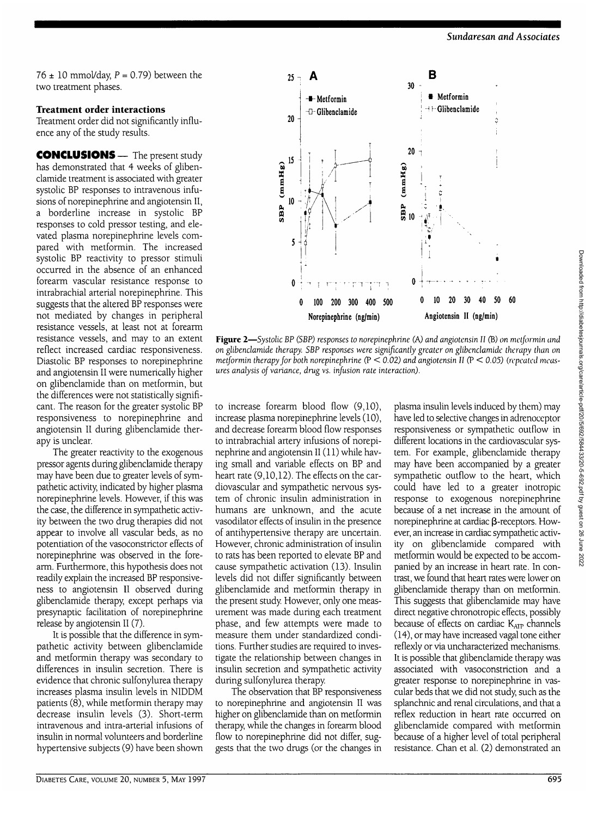76  $\pm$  10 mmol/day, P = 0.79) between the two treatment phases.

#### **Treatment order interactions**

Treatment order did not significantly influence any of the study results.

**CONCLUSIONS** — The present study has demonstrated that 4 weeks of glibenclamide treatment is associated with greater systolic BP responses to intravenous infusions of norepinephrine and angiotensin II, a borderline increase in systolic BP responses to cold pressor testing, and elevated plasma norepinephrine levels compared with metformin. The increased systolic BP reactivity to pressor stimuli occurred in the absence of an enhanced forearm vascular resistance response to intrabrachial arterial norepinephrine. This suggests that the altered BP responses were not mediated by changes in peripheral resistance vessels, at least not at forearm resistance vessels, and may to an extent reflect increased cardiac responsiveness. Diastolic BP responses to norepinephrine and angiotensin II were numerically higher on glibendamide than on metformin, but the differences were not statistically significant. The reason for the greater systolic BP responsiveness to norepinephrine and angiotensin II during glibendamide therapy is unclear.

The greater reactivity to the exogenous pressor agents during glibendamide therapy may have been due to greater levels of sympathetic activity indicated by higher plasma norepinephrine levels. However, if this was the case, the difference in sympathetic activity between the two drug therapies did not appear to involve all vascular beds, as no potentiation of the vasoconstrictor effects of norepinephrine was observed in the forearm. Furthermore, this hypothesis does not readily explain the increased BP responsiveness to angiotensin II observed during glibendamide therapy, except perhaps via presynaptic facilitation of norepinephrine release by angiotensin II (7).

It is possible that the difference in sympathetic activity between glibendamide and metformin therapy was secondary to differences in insulin secretion. There is evidence that chronic sulfonylurea therapy increases plasma insulin levels in NIDDM patients (8), while metformin therapy may decrease insulin levels (3). Short-term intravenous and intra-arterial infusions of insulin in normal volunteers and borderline hypertensive subjects (9) have been shown



**Figure 2**—*Systolic BP (SBP) responses to norepinephrine (A) and* angiotensin *II* (B) *on metjormin and metjormin therapy jor both norepinephrine* (P < *0.02) and angiotensin II* (P < *0.05) (repeated measures analysis oj variance, drug vs. infusion rate interaction).*

to increase forearm blood flow (9,10), increase plasma norepinephrine levels (10), and decrease forearm blood flow responses to intrabrachial artery infusions of norepinephrine and angiotensin II (11) while having small and variable effects on BP and heart rate (9,10,12). The effects on the cardiovascular and sympathetic nervous system of chronic insulin administration in humans are unknown, and the acute vasodilator effects of insulin in the presence of antihypertensive therapy are uncertain. However, chronic administration of insulin to rats has been reported to elevate BP and cause sympathetic activation (13). Insulin levels did not differ significantly between glibendamide and metformin therapy in the present study However, only one measurement was made during each treatment phase, and few attempts were made to measure them under standardized conditions. Further studies are required to investigate the relationship between changes in insulin secretion and sympathetic activity during sulfonylurea therapy.

The observation that BP responsiveness to norepinephrine and angiotensin II was higher on glibendamide than on metformin therapy, while the changes in forearm blood flow to norepinephrine did not differ, suggests that the two drugs (or the changes in

**o on glibendamide therapy. on on 1 1 1 b** *on glibendamide therapy. SBP responses to norepinephrine (A) and angiotensin II (B) on met/formin and on glibendamide therapy. SBP responses were significantly gre* plasma insulin levels induced by them) may have led to selective changes in adrenoceptor responsiveness or sympathetic outflow in different locations in the cardiovascular system. For example, glibendamide therapy may have been accompanied by a greater sympathetic outflow to the heart, which could have led to a greater inotropic response to exogenous norepinephrine because of a net increase in the amount of norepinephrine at cardiac  $\beta$ -receptors. However, an increase in cardiac sympathetic activity on glibendamide compared with metformin would be expected to be accompanied by an increase in heart rate. In contrast, we found that heart rates were lower on glibendamide therapy than on metformin. This suggests that glibendamide may have direct negative chronotropic effects, possibly because of effects on cardiac  $K_{\text{AIP}}$  channels (14), or may have increased vagal tone either reflexly or via uncharacterized mechanisms. It is possible that glibendamide therapy was associated with vasoconstriction and a greater response to norepinephrine in vascular beds that we did not study, such as the splanchnic and renal circulations, and that a reflex reduction in heart rate occurred on glibendamide compared with metformin because of a higher level of total peripheral resistance. Chan et al. (2) demonstrated an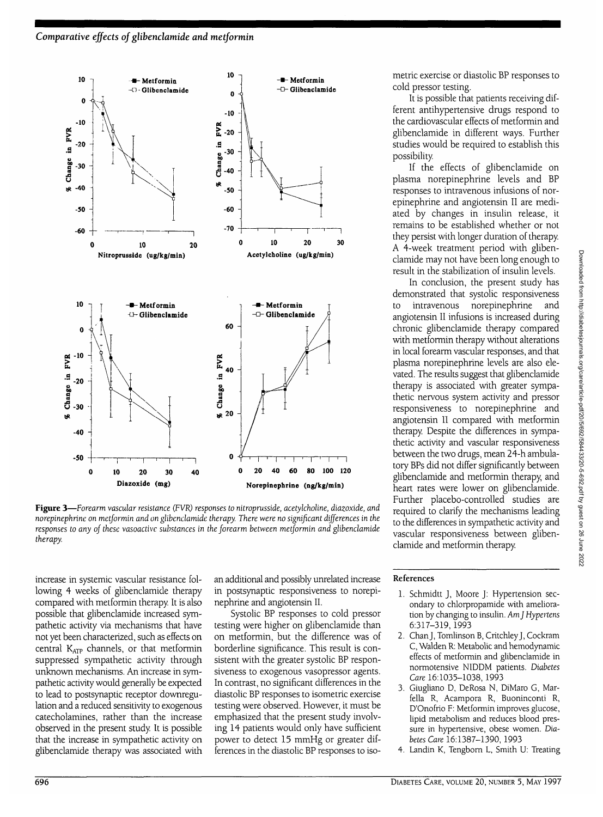

**Figure 3**—*Forearm vascular resistance (FVR) responses to nitroprusside, acetylcholine, diazoxide, and norepinephrine on metformin and on glibenclamide therapy. There were no significant differences in the responses to any of these vasoactive substances in the forearm between metformin and glibenclamide therapy.*

increase in systemic vascular resistance following 4 weeks of glibenclamide therapy compared with metformin therapy. It is also possible that glibenclamide increased sympathetic activity via mechanisms that have not yet been characterized, such as effects on central KATP channels, or that metformin suppressed sympathetic activity through unknown mechanisms. An increase in sympathetic activity would generally be expected to lead to postsynaptic receptor downregulation and a reduced sensitivity to exogenous catecholamines, rather than the increase observed in the present study It is possible that the increase in sympathetic activity on glibenclamide therapy was associated with an additional and possibly unrelated increase in postsynaptic responsiveness to norepinephrine and angiotensin II.

Systolic BP responses to cold pressor testing were higher on glibenclamide than on metformin, but the difference was of borderline significance. This result is consistent with the greater systolic BP responsiveness to exogenous vasopressor agents. In contrast, no significant differences in the diastolic BP responses to isometric exercise testing were observed. However, it must be emphasized that the present study involving 14 patients would only have sufficient power to detect 15 mmHg or greater differences in the diastolic BP responses to isometric exercise or diastolic BP responses to cold pressor testing.

It is possible that patients receiving different antihypertensive drugs respond to the cardiovascular effects of metformin and glibenclamide in different ways. Further studies would be required to establish this possibility.

If the effects of glibenclamide on plasma norepinephrine levels and BP responses to intravenous infusions of norepinephrine and angiotensin II are mediated by changes in insulin release, it remains to be established whether or not they persist with longer duration of therapy. A 4-week treatment period with glibenclamide may not have been long enough to result in the stabilization of insulin levels.

In conclusion, the present study has demonstrated that systolic responsiveness to intravenous norepinephrine and angiotensin II infusions is increased during chronic glibenclamide therapy compared with metformin therapy without alterations in local forearm vascular responses, and that plasma norepinephrine levels are also elevated. The results suggest that glibenclamide therapy is associated with greater sympathetic nervous system activity and pressor responsiveness to norepinephrine and angiotensin II compared with metformin therapy. Despite the differences in sympathetic activity and vascular responsiveness between the two drugs, mean 24-h ambulatory BPs did not differ significantly between glibenclamide and metformin therapy, and heart rates were lower on glibenclamide. Further placebo-controlled studies are required to clarify the mechanisms leading to the differences in sympathetic activity and vascular responsiveness between glibenclamide and metformin therapy.

#### References

- 1. Schmidtt J, Moore J: Hypertension secondary to chlorpropamide with amelioration by changing to insulin. *Amf Hypertens* 6:317-319,1993
- 2. Chan J, Tomlinson B, CritchleyJ, Cockram C, Walden R: Metabolic and hemodynamic effects of metformin and glibenclamide in normotensive NIDDM patients. *Diabetes Care* 16:1035-1038, 1993
- 3. Giugliano D, DeRosa N, DiMaro G, Marfella R, Acampora R, Buoninconti R, D'Onofrio F: Metformin improves glucose, lipid metabolism and reduces blood pressure in hypertensive, obese women. *Diabetes Care* 16:1387-1390, 1993
- 4. Landin K, Tengborn L, Smith U: Treating